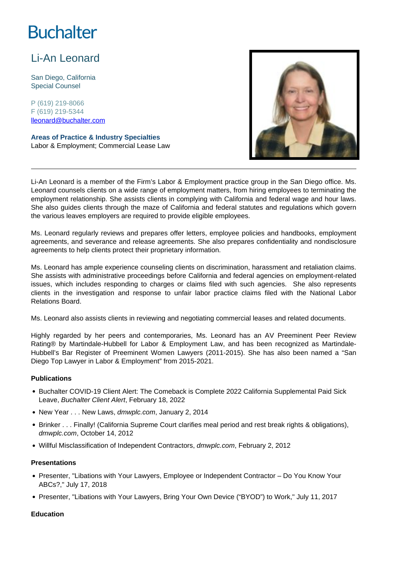# **Buchalter**

# Li-An Leonard

San Diego, California Special Counsel

P (619) 219-8066 F (619) 219-5344 lleonard@buchalter.com

**Areas of Practice & Industry Specialties** Labor & Employment; Commercial Lease Law



Li-An Leonard is a member of the Firm's Labor & Employment practice group in the San Diego office. Ms. Leonard counsels clients on a wide range of employment matters, from hiring employees to terminating the employment relationship. She assists clients in complying with California and federal wage and hour laws. She also guides clients through the maze of California and federal statutes and regulations which govern the various leaves employers are required to provide eligible employees.

Ms. Leonard regularly reviews and prepares offer letters, employee policies and handbooks, employment agreements, and severance and release agreements. She also prepares confidentiality and nondisclosure agreements to help clients protect their proprietary information.

Ms. Leonard has ample experience counseling clients on discrimination, harassment and retaliation claims. She assists with administrative proceedings before California and federal agencies on employment-related issues, which includes responding to charges or claims filed with such agencies. She also represents clients in the investigation and response to unfair labor practice claims filed with the National Labor Relations Board.

Ms. Leonard also assists clients in reviewing and negotiating commercial leases and related documents.

Highly regarded by her peers and contemporaries, Ms. Leonard has an AV Preeminent Peer Review Rating® by Martindale-Hubbell for Labor & Employment Law, and has been recognized as Martindale-Hubbell's Bar Register of Preeminent Women Lawyers (2011-2015). She has also been named a "San Diego Top Lawyer in Labor & Employment" from 2015-2021.

#### **Publications**

- Buchalter COVID-19 Client Alert: The Comeback is Complete 2022 California Supplemental Paid Sick Leave, Buchalter Client Alert, February 18, 2022
- New Year . . . New Laws, dmwplc.com, January 2, 2014
- Brinker . . . Finally! (California Supreme Court clarifies meal period and rest break rights & obligations), dmwplc.com, October 14, 2012
- Willful Misclassification of Independent Contractors, dmwplc.com, February 2, 2012

#### **Presentations**

- Presenter, "Libations with Your Lawyers, Employee or Independent Contractor Do You Know Your ABCs?," July 17, 2018
- Presenter, "Libations with Your Lawyers, Bring Your Own Device ("BYOD") to Work," July 11, 2017

#### **Education**